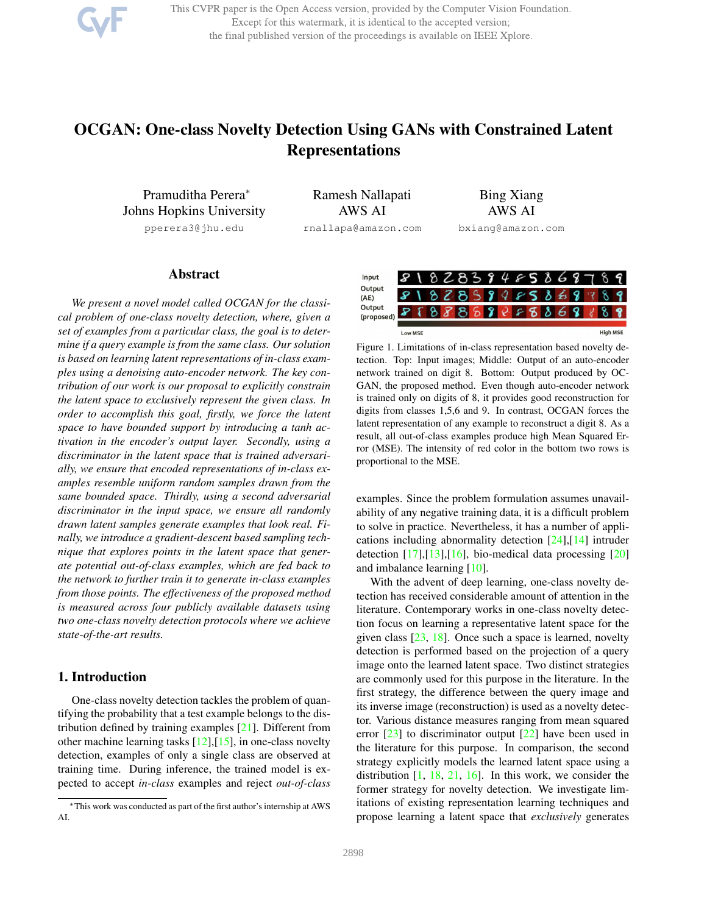This CVPR paper is the Open Access version, provided by the Computer Vision Foundation. Except for this watermark, it is identical to the accepted version; the final published version of the proceedings is available on IEEE Xplore.

# OCGAN: One-class Novelty Detection Using GANs with Constrained Latent Representations

Pramuditha Perera<sup>∗</sup> Johns Hopkins University pperera3@jhu.edu

Ramesh Nallapati AWS AI

rnallapa@amazon.com

Bing Xiang AWS AI bxiang@amazon.com

#### Abstract

*We present a novel model called OCGAN for the classical problem of one-class novelty detection, where, given a set of examples from a particular class, the goal is to determine if a query example is from the same class. Our solution is based on learning latent representations of in-class examples using a denoising auto-encoder network. The key contribution of our work is our proposal to explicitly constrain the latent space to exclusively represent the given class. In order to accomplish this goal, firstly, we force the latent space to have bounded support by introducing a tanh activation in the encoder's output layer. Secondly, using a discriminator in the latent space that is trained adversarially, we ensure that encoded representations of in-class examples resemble uniform random samples drawn from the same bounded space. Thirdly, using a second adversarial discriminator in the input space, we ensure all randomly drawn latent samples generate examples that look real. Finally, we introduce a gradient-descent based sampling technique that explores points in the latent space that generate potential out-of-class examples, which are fed back to the network to further train it to generate in-class examples from those points. The effectiveness of the proposed method is measured across four publicly available datasets using two one-class novelty detection protocols where we achieve state-of-the-art results.*

# 1. Introduction

One-class novelty detection tackles the problem of quantifying the probability that a test example belongs to the distribution defined by training examples [21]. Different from other machine learning tasks  $[12],[15]$ , in one-class novelty detection, examples of only a single class are observed at training time. During inference, the trained model is expected to accept *in-class* examples and reject *out-of-class*



Figure 1. Limitations of in-class representation based novelty detection. Top: Input images; Middle: Output of an auto-encoder network trained on digit 8. Bottom: Output produced by OC-GAN, the proposed method. Even though auto-encoder network is trained only on digits of 8, it provides good reconstruction for digits from classes 1,5,6 and 9. In contrast, OCGAN forces the latent representation of any example to reconstruct a digit 8. As a result, all out-of-class examples produce high Mean Squared Error (MSE). The intensity of red color in the bottom two rows is proportional to the MSE.

examples. Since the problem formulation assumes unavailability of any negative training data, it is a difficult problem to solve in practice. Nevertheless, it has a number of applications including abnormality detection [24],[14] intruder detection  $[17]$ , $[13]$ , $[16]$ , bio-medical data processing  $[20]$ and imbalance learning [10].

With the advent of deep learning, one-class novelty detection has received considerable amount of attention in the literature. Contemporary works in one-class novelty detection focus on learning a representative latent space for the given class  $[23, 18]$ . Once such a space is learned, novelty detection is performed based on the projection of a query image onto the learned latent space. Two distinct strategies are commonly used for this purpose in the literature. In the first strategy, the difference between the query image and its inverse image (reconstruction) is used as a novelty detector. Various distance measures ranging from mean squared error  $[23]$  to discriminator output  $[22]$  have been used in the literature for this purpose. In comparison, the second strategy explicitly models the learned latent space using a distribution  $[1, 18, 21, 16]$ . In this work, we consider the former strategy for novelty detection. We investigate limitations of existing representation learning techniques and propose learning a latent space that *exclusively* generates

<sup>∗</sup>This work was conducted as part of the first author's internship at AWS AI.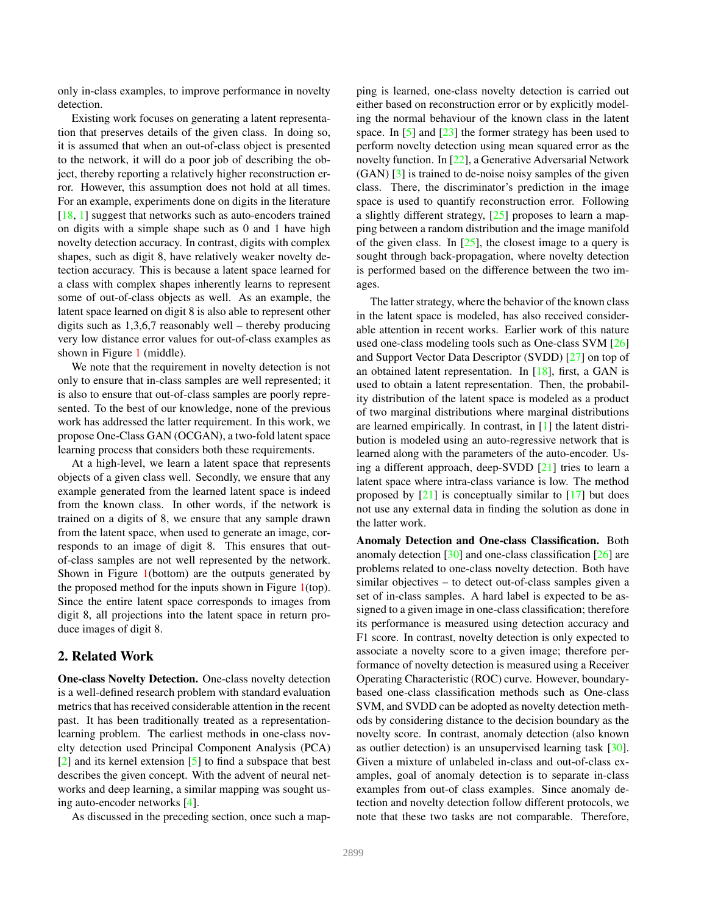only in-class examples, to improve performance in novelty detection.

Existing work focuses on generating a latent representation that preserves details of the given class. In doing so, it is assumed that when an out-of-class object is presented to the network, it will do a poor job of describing the object, thereby reporting a relatively higher reconstruction error. However, this assumption does not hold at all times. For an example, experiments done on digits in the literature [18, 1] suggest that networks such as auto-encoders trained on digits with a simple shape such as 0 and 1 have high novelty detection accuracy. In contrast, digits with complex shapes, such as digit 8, have relatively weaker novelty detection accuracy. This is because a latent space learned for a class with complex shapes inherently learns to represent some of out-of-class objects as well. As an example, the latent space learned on digit 8 is also able to represent other digits such as 1,3,6,7 reasonably well – thereby producing very low distance error values for out-of-class examples as shown in Figure 1 (middle).

We note that the requirement in novelty detection is not only to ensure that in-class samples are well represented; it is also to ensure that out-of-class samples are poorly represented. To the best of our knowledge, none of the previous work has addressed the latter requirement. In this work, we propose One-Class GAN (OCGAN), a two-fold latent space learning process that considers both these requirements.

At a high-level, we learn a latent space that represents objects of a given class well. Secondly, we ensure that any example generated from the learned latent space is indeed from the known class. In other words, if the network is trained on a digits of 8, we ensure that any sample drawn from the latent space, when used to generate an image, corresponds to an image of digit 8. This ensures that outof-class samples are not well represented by the network. Shown in Figure 1(bottom) are the outputs generated by the proposed method for the inputs shown in Figure 1(top). Since the entire latent space corresponds to images from digit 8, all projections into the latent space in return produce images of digit 8.

#### 2. Related Work

One-class Novelty Detection. One-class novelty detection is a well-defined research problem with standard evaluation metrics that has received considerable attention in the recent past. It has been traditionally treated as a representationlearning problem. The earliest methods in one-class novelty detection used Principal Component Analysis (PCA) [2] and its kernel extension [5] to find a subspace that best describes the given concept. With the advent of neural networks and deep learning, a similar mapping was sought using auto-encoder networks [4].

As discussed in the preceding section, once such a map-

ping is learned, one-class novelty detection is carried out either based on reconstruction error or by explicitly modeling the normal behaviour of the known class in the latent space. In [5] and [23] the former strategy has been used to perform novelty detection using mean squared error as the novelty function. In [22], a Generative Adversarial Network (GAN) [3] is trained to de-noise noisy samples of the given class. There, the discriminator's prediction in the image space is used to quantify reconstruction error. Following a slightly different strategy, [25] proposes to learn a mapping between a random distribution and the image manifold of the given class. In  $[25]$ , the closest image to a query is sought through back-propagation, where novelty detection is performed based on the difference between the two images.

The latter strategy, where the behavior of the known class in the latent space is modeled, has also received considerable attention in recent works. Earlier work of this nature used one-class modeling tools such as One-class SVM [26] and Support Vector Data Descriptor (SVDD) [27] on top of an obtained latent representation. In [18], first, a GAN is used to obtain a latent representation. Then, the probability distribution of the latent space is modeled as a product of two marginal distributions where marginal distributions are learned empirically. In contrast, in [1] the latent distribution is modeled using an auto-regressive network that is learned along with the parameters of the auto-encoder. Using a different approach, deep-SVDD [21] tries to learn a latent space where intra-class variance is low. The method proposed by  $[21]$  is conceptually similar to  $[17]$  but does not use any external data in finding the solution as done in the latter work.

Anomaly Detection and One-class Classification. Both anomaly detection [30] and one-class classification [26] are problems related to one-class novelty detection. Both have similar objectives – to detect out-of-class samples given a set of in-class samples. A hard label is expected to be assigned to a given image in one-class classification; therefore its performance is measured using detection accuracy and F1 score. In contrast, novelty detection is only expected to associate a novelty score to a given image; therefore performance of novelty detection is measured using a Receiver Operating Characteristic (ROC) curve. However, boundarybased one-class classification methods such as One-class SVM, and SVDD can be adopted as novelty detection methods by considering distance to the decision boundary as the novelty score. In contrast, anomaly detection (also known as outlier detection) is an unsupervised learning task [30]. Given a mixture of unlabeled in-class and out-of-class examples, goal of anomaly detection is to separate in-class examples from out-of class examples. Since anomaly detection and novelty detection follow different protocols, we note that these two tasks are not comparable. Therefore,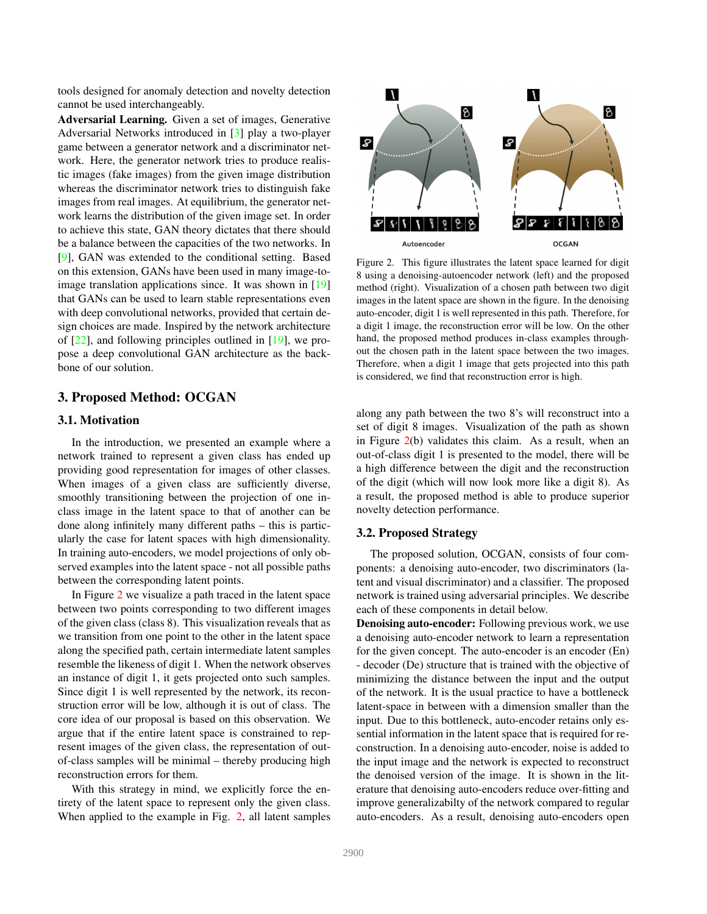tools designed for anomaly detection and novelty detection cannot be used interchangeably.

Adversarial Learning. Given a set of images, Generative Adversarial Networks introduced in [3] play a two-player game between a generator network and a discriminator network. Here, the generator network tries to produce realistic images (fake images) from the given image distribution whereas the discriminator network tries to distinguish fake images from real images. At equilibrium, the generator network learns the distribution of the given image set. In order to achieve this state, GAN theory dictates that there should be a balance between the capacities of the two networks. In [9], GAN was extended to the conditional setting. Based on this extension, GANs have been used in many image-toimage translation applications since. It was shown in [19] that GANs can be used to learn stable representations even with deep convolutional networks, provided that certain design choices are made. Inspired by the network architecture of  $[22]$ , and following principles outlined in  $[19]$ , we propose a deep convolutional GAN architecture as the backbone of our solution.

# 3. Proposed Method: OCGAN

## 3.1. Motivation

In the introduction, we presented an example where a network trained to represent a given class has ended up providing good representation for images of other classes. When images of a given class are sufficiently diverse, smoothly transitioning between the projection of one inclass image in the latent space to that of another can be done along infinitely many different paths – this is particularly the case for latent spaces with high dimensionality. In training auto-encoders, we model projections of only observed examples into the latent space - not all possible paths between the corresponding latent points.

In Figure 2 we visualize a path traced in the latent space between two points corresponding to two different images of the given class (class 8). This visualization reveals that as we transition from one point to the other in the latent space along the specified path, certain intermediate latent samples resemble the likeness of digit 1. When the network observes an instance of digit 1, it gets projected onto such samples. Since digit 1 is well represented by the network, its reconstruction error will be low, although it is out of class. The core idea of our proposal is based on this observation. We argue that if the entire latent space is constrained to represent images of the given class, the representation of outof-class samples will be minimal – thereby producing high reconstruction errors for them.

With this strategy in mind, we explicitly force the entirety of the latent space to represent only the given class. When applied to the example in Fig. 2, all latent samples



Figure 2. This figure illustrates the latent space learned for digit 8 using a denoising-autoencoder network (left) and the proposed method (right). Visualization of a chosen path between two digit images in the latent space are shown in the figure. In the denoising auto-encoder, digit 1 is well represented in this path. Therefore, for a digit 1 image, the reconstruction error will be low. On the other hand, the proposed method produces in-class examples throughout the chosen path in the latent space between the two images. Therefore, when a digit 1 image that gets projected into this path is considered, we find that reconstruction error is high.

along any path between the two 8's will reconstruct into a set of digit 8 images. Visualization of the path as shown in Figure 2(b) validates this claim. As a result, when an out-of-class digit 1 is presented to the model, there will be a high difference between the digit and the reconstruction of the digit (which will now look more like a digit 8). As a result, the proposed method is able to produce superior novelty detection performance.

#### 3.2. Proposed Strategy

The proposed solution, OCGAN, consists of four components: a denoising auto-encoder, two discriminators (latent and visual discriminator) and a classifier. The proposed network is trained using adversarial principles. We describe each of these components in detail below.

**Denoising auto-encoder:** Following previous work, we use a denoising auto-encoder network to learn a representation for the given concept. The auto-encoder is an encoder (En) - decoder (De) structure that is trained with the objective of minimizing the distance between the input and the output of the network. It is the usual practice to have a bottleneck latent-space in between with a dimension smaller than the input. Due to this bottleneck, auto-encoder retains only essential information in the latent space that is required for reconstruction. In a denoising auto-encoder, noise is added to the input image and the network is expected to reconstruct the denoised version of the image. It is shown in the literature that denoising auto-encoders reduce over-fitting and improve generalizabilty of the network compared to regular auto-encoders. As a result, denoising auto-encoders open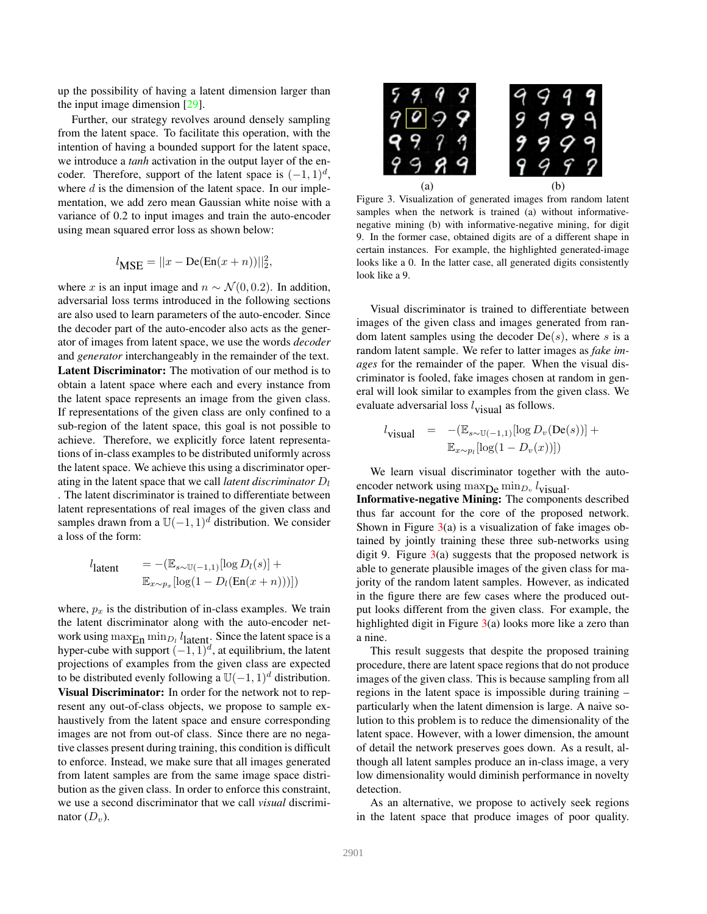up the possibility of having a latent dimension larger than the input image dimension [29].

Further, our strategy revolves around densely sampling from the latent space. To facilitate this operation, with the intention of having a bounded support for the latent space, we introduce a *tanh* activation in the output layer of the encoder. Therefore, support of the latent space is  $(-1, 1)<sup>d</sup>$ , where  $d$  is the dimension of the latent space. In our implementation, we add zero mean Gaussian white noise with a variance of 0.2 to input images and train the auto-encoder using mean squared error loss as shown below:

$$
l_{\text{MSE}} = ||x - \text{De}(\text{En}(x + n))||_2^2,
$$

where x is an input image and  $n \sim \mathcal{N}(0, 0.2)$ . In addition, adversarial loss terms introduced in the following sections are also used to learn parameters of the auto-encoder. Since the decoder part of the auto-encoder also acts as the generator of images from latent space, we use the words *decoder* and *generator* interchangeably in the remainder of the text. Latent Discriminator: The motivation of our method is to obtain a latent space where each and every instance from the latent space represents an image from the given class. If representations of the given class are only confined to a sub-region of the latent space, this goal is not possible to achieve. Therefore, we explicitly force latent representations of in-class examples to be distributed uniformly across the latent space. We achieve this using a discriminator operating in the latent space that we call *latent discriminator*  $D_l$ . The latent discriminator is trained to differentiate between latent representations of real images of the given class and samples drawn from a  $\mathbb{U}(-1, 1)^d$  distribution. We consider a loss of the form:

$$
l_{\text{latent}} = -(\mathbb{E}_{s \sim \mathbb{U}(-1,1)}[\log D_l(s)] +
$$
  

$$
\mathbb{E}_{x \sim p_x}[\log(1 - D_l(\text{En}(x + n)))])
$$

where,  $p_x$  is the distribution of in-class examples. We train the latent discriminator along with the auto-encoder network using  $\max_{\text{En}} \min_{D_l} l_{\text{lattent}}$ . Since the latent space is a hyper-cube with support  $(-1, 1)^d$ , at equilibrium, the latent projections of examples from the given class are expected to be distributed evenly following a  $\mathbb{U}(-1, 1)^d$  distribution. Visual Discriminator: In order for the network not to represent any out-of-class objects, we propose to sample exhaustively from the latent space and ensure corresponding images are not from out-of class. Since there are no negative classes present during training, this condition is difficult to enforce. Instead, we make sure that all images generated from latent samples are from the same image space distribution as the given class. In order to enforce this constraint, we use a second discriminator that we call *visual* discriminator  $(D_v)$ .



Figure 3. Visualization of generated images from random latent samples when the network is trained (a) without informativenegative mining (b) with informative-negative mining, for digit 9. In the former case, obtained digits are of a different shape in certain instances. For example, the highlighted generated-image looks like a 0. In the latter case, all generated digits consistently look like a 9.

Visual discriminator is trained to differentiate between images of the given class and images generated from random latent samples using the decoder  $De(s)$ , where s is a random latent sample. We refer to latter images as *fake images* for the remainder of the paper. When the visual discriminator is fooled, fake images chosen at random in general will look similar to examples from the given class. We evaluate adversarial loss  $l_{\text{visual}}$  as follows.

$$
l_{\text{visual}} = -(\mathbb{E}_{s \sim \mathbb{U}(-1,1)}[\log D_v(\text{De}(s))] + \mathbb{E}_{x \sim p_l}[\log(1 - D_v(x))])
$$

We learn visual discriminator together with the autoencoder network using  $\max_{\mathbf{D}\in \mathbb{R}} \min_{D_v} l_{\text{visual}}$ .

Informative-negative Mining: The components described thus far account for the core of the proposed network. Shown in Figure  $3(a)$  is a visualization of fake images obtained by jointly training these three sub-networks using digit 9. Figure  $3(a)$  suggests that the proposed network is able to generate plausible images of the given class for majority of the random latent samples. However, as indicated in the figure there are few cases where the produced output looks different from the given class. For example, the highlighted digit in Figure  $3(a)$  looks more like a zero than a nine.

This result suggests that despite the proposed training procedure, there are latent space regions that do not produce images of the given class. This is because sampling from all regions in the latent space is impossible during training – particularly when the latent dimension is large. A naive solution to this problem is to reduce the dimensionality of the latent space. However, with a lower dimension, the amount of detail the network preserves goes down. As a result, although all latent samples produce an in-class image, a very low dimensionality would diminish performance in novelty detection.

As an alternative, we propose to actively seek regions in the latent space that produce images of poor quality.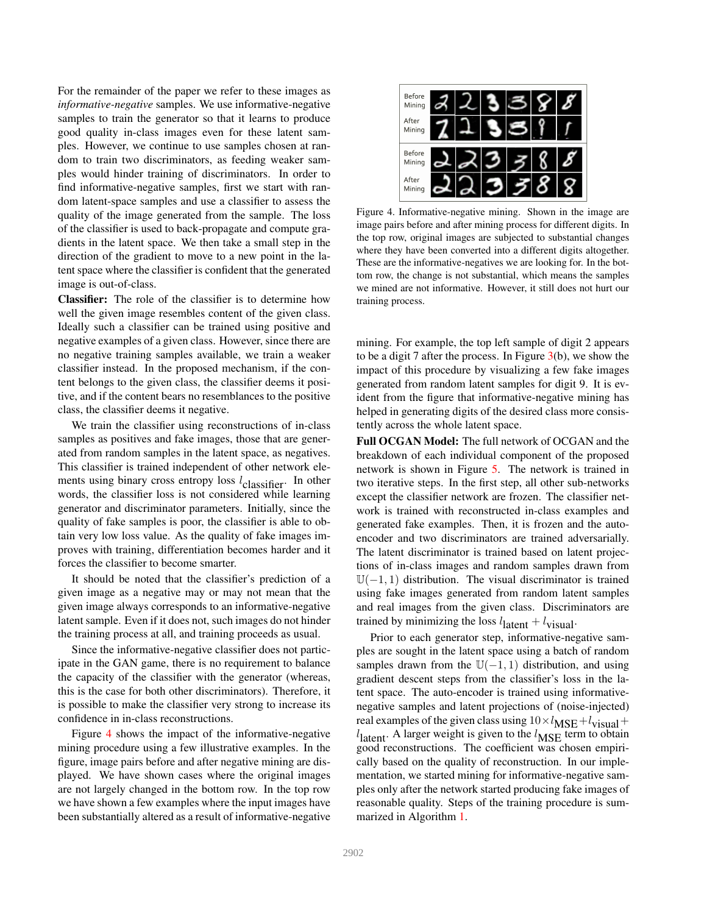For the remainder of the paper we refer to these images as *informative-negative* samples. We use informative-negative samples to train the generator so that it learns to produce good quality in-class images even for these latent samples. However, we continue to use samples chosen at random to train two discriminators, as feeding weaker samples would hinder training of discriminators. In order to find informative-negative samples, first we start with random latent-space samples and use a classifier to assess the quality of the image generated from the sample. The loss of the classifier is used to back-propagate and compute gradients in the latent space. We then take a small step in the direction of the gradient to move to a new point in the latent space where the classifier is confident that the generated image is out-of-class.

Classifier: The role of the classifier is to determine how well the given image resembles content of the given class. Ideally such a classifier can be trained using positive and negative examples of a given class. However, since there are no negative training samples available, we train a weaker classifier instead. In the proposed mechanism, if the content belongs to the given class, the classifier deems it positive, and if the content bears no resemblances to the positive class, the classifier deems it negative.

We train the classifier using reconstructions of in-class samples as positives and fake images, those that are generated from random samples in the latent space, as negatives. This classifier is trained independent of other network elements using binary cross entropy loss  $l_{\text{classifier}}$ . In other words, the classifier loss is not considered while learning generator and discriminator parameters. Initially, since the quality of fake samples is poor, the classifier is able to obtain very low loss value. As the quality of fake images improves with training, differentiation becomes harder and it forces the classifier to become smarter.

It should be noted that the classifier's prediction of a given image as a negative may or may not mean that the given image always corresponds to an informative-negative latent sample. Even if it does not, such images do not hinder the training process at all, and training proceeds as usual.

Since the informative-negative classifier does not participate in the GAN game, there is no requirement to balance the capacity of the classifier with the generator (whereas, this is the case for both other discriminators). Therefore, it is possible to make the classifier very strong to increase its confidence in in-class reconstructions.

Figure 4 shows the impact of the informative-negative mining procedure using a few illustrative examples. In the figure, image pairs before and after negative mining are displayed. We have shown cases where the original images are not largely changed in the bottom row. In the top row we have shown a few examples where the input images have been substantially altered as a result of informative-negative



Figure 4. Informative-negative mining. Shown in the image are image pairs before and after mining process for different digits. In the top row, original images are subjected to substantial changes where they have been converted into a different digits altogether. These are the informative-negatives we are looking for. In the bottom row, the change is not substantial, which means the samples we mined are not informative. However, it still does not hurt our training process.

mining. For example, the top left sample of digit 2 appears to be a digit 7 after the process. In Figure  $3(b)$ , we show the impact of this procedure by visualizing a few fake images generated from random latent samples for digit 9. It is evident from the figure that informative-negative mining has helped in generating digits of the desired class more consistently across the whole latent space.

Full OCGAN Model: The full network of OCGAN and the breakdown of each individual component of the proposed network is shown in Figure 5. The network is trained in two iterative steps. In the first step, all other sub-networks except the classifier network are frozen. The classifier network is trained with reconstructed in-class examples and generated fake examples. Then, it is frozen and the autoencoder and two discriminators are trained adversarially. The latent discriminator is trained based on latent projections of in-class images and random samples drawn from  $U(-1, 1)$  distribution. The visual discriminator is trained using fake images generated from random latent samples and real images from the given class. Discriminators are trained by minimizing the loss  $l_{\text{latent}} + l_{\text{visual}}$ .

Prior to each generator step, informative-negative samples are sought in the latent space using a batch of random samples drawn from the  $\mathbb{U}(-1, 1)$  distribution, and using gradient descent steps from the classifier's loss in the latent space. The auto-encoder is trained using informativenegative samples and latent projections of (noise-injected) real examples of the given class using  $10 \times l_{\text{MSE}} + l_{\text{visual}} +$  $l_{\text{latent}}$ . A larger weight is given to the  $l_{\text{MSE}}$  term to obtain good reconstructions. The coefficient was chosen empirically based on the quality of reconstruction. In our implementation, we started mining for informative-negative samples only after the network started producing fake images of reasonable quality. Steps of the training procedure is summarized in Algorithm 1.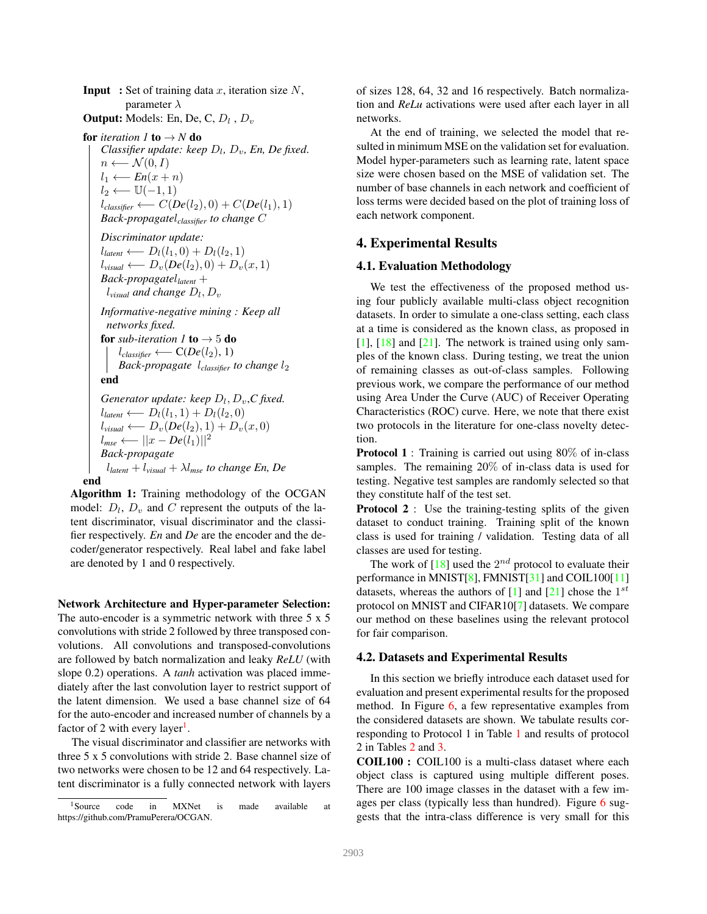**Input** : Set of training data x, iteration size  $N$ , parameter  $\lambda$ 

**Output:** Models: En, De, C,  $D_l$  ,  $D_v$ 

**for** *iteration* 1 **to**  $\rightarrow$  *N* **do** *Classifier update: keep*  $D_l$ ,  $D_v$ , *En*, *De fixed.*  $n \leftarrow \mathcal{N}(0, I)$  $l_1$  ←  $En(x + n)$  $l_2 \longleftarrow \mathbb{U}(-1,1)$  $l_{\text{classify}} \longleftarrow C(De(l_2), 0) + C(De(l_1), 1)$ *Back-propagate*l*classifier to change* C

*Discriminator update:*  $l_{latent} \longleftarrow D_l(l_1,0) + D_l(l_2,1)$  $l_{visual} \longleftarrow D_v(De(l_2), 0) + D_v(x, 1)$ *Back-propagate*l*latent* +  $l_{visual}$  and change  $D_l, D_v$ 

*Informative-negative mining : Keep all networks fixed.* for *sub-iteration 1* to  $\rightarrow$  5 do

 $l_{\text{classifier}} \longleftarrow C(De(l_2), 1)$ *Back-propagate l*<sub>classifier</sub> to change *l*<sub>2</sub> end

*Generator update: keep*  $D_l$ ,  $D_v$ ,  $C$  fixed.  $l_{latent} \longleftarrow D_l(l_1, 1) + D_l(l_2, 0)$  $l_{visual} \leftarrow D_v(De(l_2), 1) + D_v(x, 0)$  $l_{mse}$  ←  $||x - De(l_1)||^2$ *Back-propagate* l*latent* + l*visual* + λl*mse to change En, De*

end

Algorithm 1: Training methodology of the OCGAN model:  $D_l$ ,  $D_v$  and C represent the outputs of the latent discriminator, visual discriminator and the classifier respectively. *En* and *De* are the encoder and the decoder/generator respectively. Real label and fake label are denoted by 1 and 0 respectively.

Network Architecture and Hyper-parameter Selection: The auto-encoder is a symmetric network with three 5 x 5 convolutions with stride 2 followed by three transposed convolutions. All convolutions and transposed-convolutions are followed by batch normalization and leaky *ReLU* (with slope 0.2) operations. A *tanh* activation was placed immediately after the last convolution layer to restrict support of the latent dimension. We used a base channel size of 64 for the auto-encoder and increased number of channels by a factor of 2 with every layer<sup>1</sup>.

The visual discriminator and classifier are networks with three 5 x 5 convolutions with stride 2. Base channel size of two networks were chosen to be 12 and 64 respectively. Latent discriminator is a fully connected network with layers of sizes 128, 64, 32 and 16 respectively. Batch normalization and *ReLu* activations were used after each layer in all networks.

At the end of training, we selected the model that resulted in minimum MSE on the validation set for evaluation. Model hyper-parameters such as learning rate, latent space size were chosen based on the MSE of validation set. The number of base channels in each network and coefficient of loss terms were decided based on the plot of training loss of each network component.

#### 4. Experimental Results

#### 4.1. Evaluation Methodology

We test the effectiveness of the proposed method using four publicly available multi-class object recognition datasets. In order to simulate a one-class setting, each class at a time is considered as the known class, as proposed in  $[1]$ ,  $[18]$  and  $[21]$ . The network is trained using only samples of the known class. During testing, we treat the union of remaining classes as out-of-class samples. Following previous work, we compare the performance of our method using Area Under the Curve (AUC) of Receiver Operating Characteristics (ROC) curve. Here, we note that there exist two protocols in the literature for one-class novelty detection.

**Protocol 1** : Training is carried out using 80% of in-class samples. The remaining 20% of in-class data is used for testing. Negative test samples are randomly selected so that they constitute half of the test set.

Protocol 2 : Use the training-testing splits of the given dataset to conduct training. Training split of the known class is used for training / validation. Testing data of all classes are used for testing.

The work of  $[18]$  used the  $2^{nd}$  protocol to evaluate their performance in MNIST[8], FMNIST[31] and COIL100[11] datasets, whereas the authors of [1] and [21] chose the  $1^{st}$ protocol on MNIST and CIFAR10[7] datasets. We compare our method on these baselines using the relevant protocol for fair comparison.

#### 4.2. Datasets and Experimental Results

In this section we briefly introduce each dataset used for evaluation and present experimental results for the proposed method. In Figure  $6$ , a few representative examples from the considered datasets are shown. We tabulate results corresponding to Protocol 1 in Table 1 and results of protocol 2 in Tables 2 and 3.

COIL100 : COIL100 is a multi-class dataset where each object class is captured using multiple different poses. There are 100 image classes in the dataset with a few images per class (typically less than hundred). Figure 6 suggests that the intra-class difference is very small for this

<sup>&</sup>lt;sup>1</sup>Source code in MXNet is made available at https://github.com/PramuPerera/OCGAN.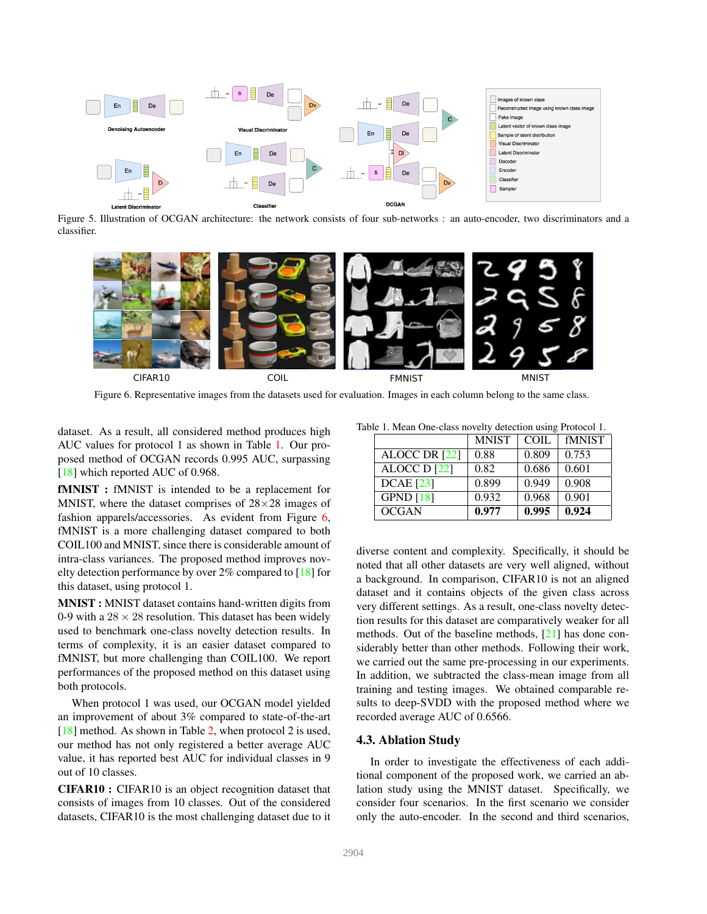

Figure 5. Illustration of OCGAN architecture: the network consists of four sub-networks : an auto-encoder, two discriminators and a classifier.



Figure 6. Representative images from the datasets used for evaluation. Images in each column belong to the same class.

dataset. As a result, all considered method produces high AUC values for protocol 1 as shown in Table 1. Our proposed method of OCGAN records 0.995 AUC, surpassing [18] which reported AUC of 0.968.

fMNIST : fMNIST is intended to be a replacement for MNIST, where the dataset comprises of  $28\times28$  images of fashion apparels/accessories. As evident from Figure 6, fMNIST is a more challenging dataset compared to both COIL100 and MNIST, since there is considerable amount of intra-class variances. The proposed method improves novelty detection performance by over 2% compared to [18] for this dataset, using protocol 1.

MNIST : MNIST dataset contains hand-written digits from 0-9 with a  $28 \times 28$  resolution. This dataset has been widely used to benchmark one-class novelty detection results. In terms of complexity, it is an easier dataset compared to fMNIST, but more challenging than COIL100. We report performances of the proposed method on this dataset using both protocols.

When protocol 1 was used, our OCGAN model yielded an improvement of about 3% compared to state-of-the-art [18] method. As shown in Table 2, when protocol 2 is used, our method has not only registered a better average AUC value, it has reported best AUC for individual classes in 9 out of 10 classes.

CIFAR10 : CIFAR10 is an object recognition dataset that consists of images from 10 classes. Out of the considered datasets, CIFAR10 is the most challenging dataset due to it

Table 1. Mean One-class novelty detection using Protocol 1.

|                  | <b>MNIST</b> | COIL. | <b>fMNIST</b> |  |  |  |  |
|------------------|--------------|-------|---------------|--|--|--|--|
| ALOCC DR [22]    | 0.88         | 0.809 | 0.753         |  |  |  |  |
| ALOCC D [22]     | 0.82         | 0.686 | 0.601         |  |  |  |  |
| <b>DCAE</b> [23] | 0.899        | 0.949 | 0.908         |  |  |  |  |
| GPND $[18]$      | 0.932        | 0.968 | 0.901         |  |  |  |  |
| <b>OCGAN</b>     | 0.977        | 0.995 | 0.924         |  |  |  |  |

diverse content and complexity. Specifically, it should be noted that all other datasets are very well aligned, without a background. In comparison, CIFAR10 is not an aligned dataset and it contains objects of the given class across very different settings. As a result, one-class novelty detection results for this dataset are comparatively weaker for all methods. Out of the baseline methods, [21] has done considerably better than other methods. Following their work, we carried out the same pre-processing in our experiments. In addition, we subtracted the class-mean image from all training and testing images. We obtained comparable results to deep-SVDD with the proposed method where we recorded average AUC of 0.6566.

#### 4.3. Ablation Study

In order to investigate the effectiveness of each additional component of the proposed work, we carried an ablation study using the MNIST dataset. Specifically, we consider four scenarios. In the first scenario we consider only the auto-encoder. In the second and third scenarios,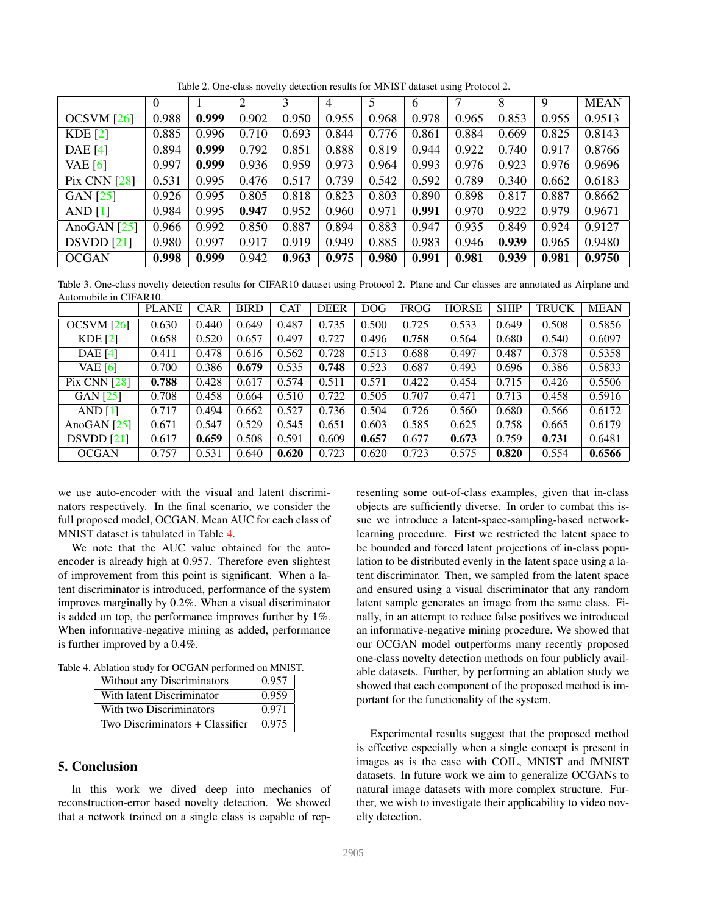|                     | $\theta$ |       | 2     | 3     | 4     | 5     | 6     | 7     | 8     | 9     | <b>MEAN</b> |
|---------------------|----------|-------|-------|-------|-------|-------|-------|-------|-------|-------|-------------|
| OCSVM [26]          | 0.988    | 0.999 | 0.902 | 0.950 | 0.955 | 0.968 | 0.978 | 0.965 | 0.853 | 0.955 | 0.9513      |
| KDE[2]              | 0.885    | 0.996 | 0.710 | 0.693 | 0.844 | 0.776 | 0.861 | 0.884 | 0.669 | 0.825 | 0.8143      |
| <b>DAE</b> [4]      | 0.894    | 0.999 | 0.792 | 0.851 | 0.888 | 0.819 | 0.944 | 0.922 | 0.740 | 0.917 | 0.8766      |
| VAE $[6]$           | 0.997    | 0.999 | 0.936 | 0.959 | 0.973 | 0.964 | 0.993 | 0.976 | 0.923 | 0.976 | 0.9696      |
| <b>Pix CNN [28]</b> | 0.531    | 0.995 | 0.476 | 0.517 | 0.739 | 0.542 | 0.592 | 0.789 | 0.340 | 0.662 | 0.6183      |
| GAN [25]            | 0.926    | 0.995 | 0.805 | 0.818 | 0.823 | 0.803 | 0.890 | 0.898 | 0.817 | 0.887 | 0.8662      |
| AND $[1]$           | 0.984    | 0.995 | 0.947 | 0.952 | 0.960 | 0.971 | 0.991 | 0.970 | 0.922 | 0.979 | 0.9671      |
| AnoGAN $[25]$       | 0.966    | 0.992 | 0.850 | 0.887 | 0.894 | 0.883 | 0.947 | 0.935 | 0.849 | 0.924 | 0.9127      |
| DSVDD[21]           | 0.980    | 0.997 | 0.917 | 0.919 | 0.949 | 0.885 | 0.983 | 0.946 | 0.939 | 0.965 | 0.9480      |
| <b>OCGAN</b>        | 0.998    | 0.999 | 0.942 | 0.963 | 0.975 | 0.980 | 0.991 | 0.981 | 0.939 | 0.981 | 0.9750      |

Table 2. One-class novelty detection results for MNIST dataset using Protocol 2.

Table 3. One-class novelty detection results for CIFAR10 dataset using Protocol 2. Plane and Car classes are annotated as Airplane and Automobile in CIFAR10.

|                | <b>PLANE</b> | <b>CAR</b> | <b>BIRD</b> | <b>CAT</b> | <b>DEER</b> | <b>DOG</b> | <b>FROG</b> | <b>HORSE</b> | <b>SHIP</b> | <b>TRUCK</b> | <b>MEAN</b> |
|----------------|--------------|------------|-------------|------------|-------------|------------|-------------|--------------|-------------|--------------|-------------|
| OCSVM [26]     | 0.630        | 0.440      | 0.649       | 0.487      | 0.735       | 0.500      | 0.725       | 0.533        | 0.649       | 0.508        | 0.5856      |
| KDE[2]         | 0.658        | 0.520      | 0.657       | 0.497      | 0.727       | 0.496      | 0.758       | 0.564        | 0.680       | 0.540        | 0.6097      |
| <b>DAE</b> [4] | 0.411        | 0.478      | 0.616       | 0.562      | 0.728       | 0.513      | 0.688       | 0.497        | 0.487       | 0.378        | 0.5358      |
| VAE $[6]$      | 0.700        | 0.386      | 0.679       | 0.535      | 0.748       | 0.523      | 0.687       | 0.493        | 0.696       | 0.386        | 0.5833      |
| Pix CNN $[28]$ | 0.788        | 0.428      | 0.617       | 0.574      | 0.511       | 0.571      | 0.422       | 0.454        | 0.715       | 0.426        | 0.5506      |
| GAN [25]       | 0.708        | 0.458      | 0.664       | 0.510      | 0.722       | 0.505      | 0.707       | 0.471        | 0.713       | 0.458        | 0.5916      |
| AND $[1]$      | 0.717        | 0.494      | 0.662       | 0.527      | 0.736       | 0.504      | 0.726       | 0.560        | 0.680       | 0.566        | 0.6172      |
| AnoGAN $[25]$  | 0.671        | 0.547      | 0.529       | 0.545      | 0.651       | 0.603      | 0.585       | 0.625        | 0.758       | 0.665        | 0.6179      |
| DSVDD [21]     | 0.617        | 0.659      | 0.508       | 0.591      | 0.609       | 0.657      | 0.677       | 0.673        | 0.759       | 0.731        | 0.6481      |
| <b>OCGAN</b>   | 0.757        | 0.531      | 0.640       | 0.620      | 0.723       | 0.620      | 0.723       | 0.575        | 0.820       | 0.554        | 0.6566      |

we use auto-encoder with the visual and latent discriminators respectively. In the final scenario, we consider the full proposed model, OCGAN. Mean AUC for each class of MNIST dataset is tabulated in Table 4.

We note that the AUC value obtained for the autoencoder is already high at 0.957. Therefore even slightest of improvement from this point is significant. When a latent discriminator is introduced, performance of the system improves marginally by 0.2%. When a visual discriminator is added on top, the performance improves further by 1%. When informative-negative mining as added, performance is further improved by a 0.4%.

| Without any Discriminators      | 0.957 |  |
|---------------------------------|-------|--|
| With latent Discriminator       | 0.959 |  |
| With two Discriminators         | 0.971 |  |
| Two Discriminators + Classifier | 0.975 |  |

#### 5. Conclusion

In this work we dived deep into mechanics of reconstruction-error based novelty detection. We showed that a network trained on a single class is capable of representing some out-of-class examples, given that in-class objects are sufficiently diverse. In order to combat this issue we introduce a latent-space-sampling-based networklearning procedure. First we restricted the latent space to be bounded and forced latent projections of in-class population to be distributed evenly in the latent space using a latent discriminator. Then, we sampled from the latent space and ensured using a visual discriminator that any random latent sample generates an image from the same class. Finally, in an attempt to reduce false positives we introduced an informative-negative mining procedure. We showed that our OCGAN model outperforms many recently proposed one-class novelty detection methods on four publicly available datasets. Further, by performing an ablation study we showed that each component of the proposed method is important for the functionality of the system.

Experimental results suggest that the proposed method is effective especially when a single concept is present in images as is the case with COIL, MNIST and fMNIST datasets. In future work we aim to generalize OCGANs to natural image datasets with more complex structure. Further, we wish to investigate their applicability to video novelty detection.